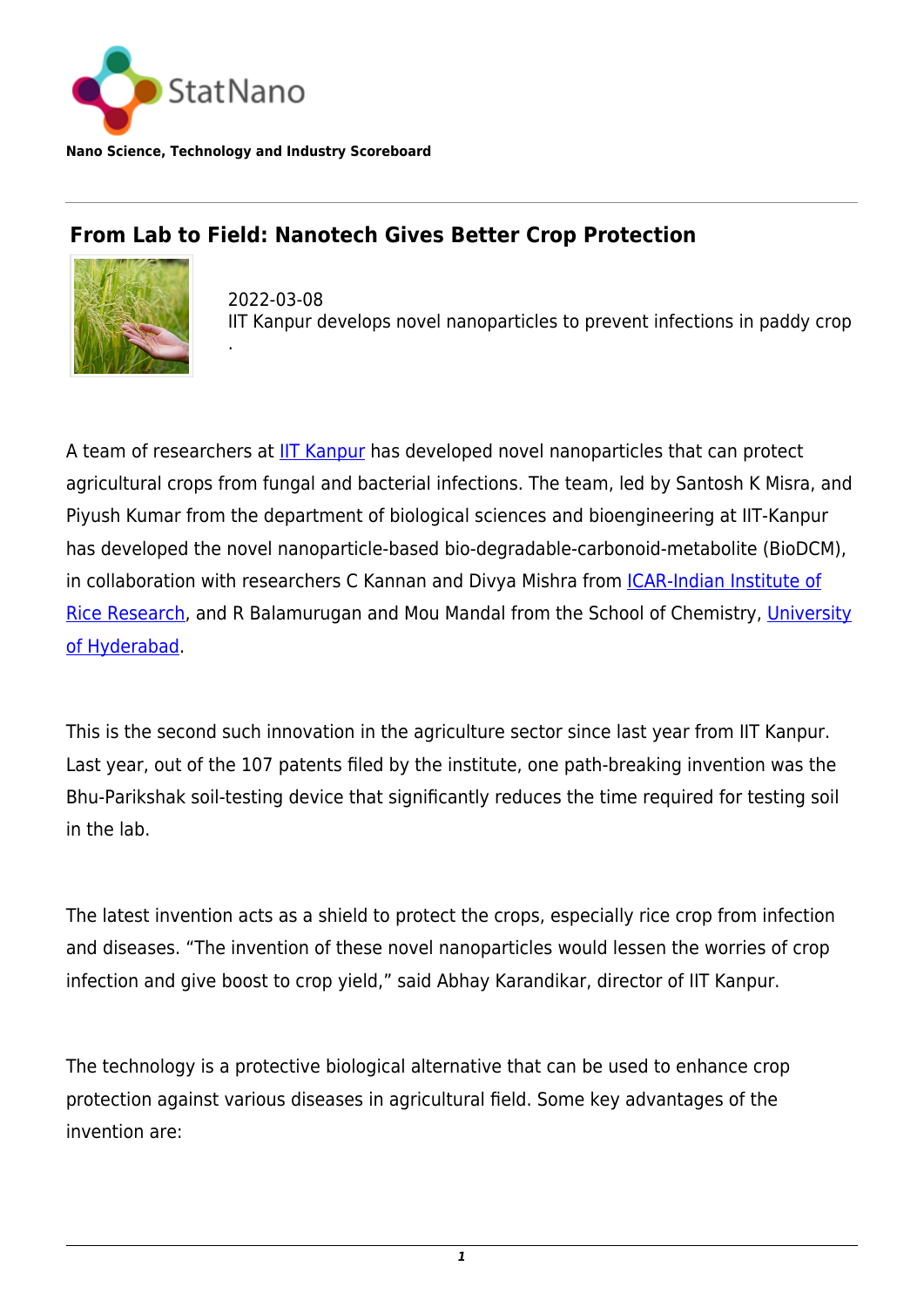

**Nano Science, Technology and Industry Scoreboard**

.

## **From Lab to Field: Nanotech Gives Better Crop Protection**



2022-03-08 IIT Kanpur develops novel nanoparticles to prevent infections in paddy crop

A team of researchers at [IIT Kanpur](https://www.iitk.ac.in) has developed novel nanoparticles that can protect agricultural crops from fungal and bacterial infections. The team, led by Santosh K Misra, and Piyush Kumar from the department of biological sciences and bioengineering at IIT-Kanpur has developed the novel nanoparticle-based bio-degradable-carbonoid-metabolite (BioDCM), in collaboration with researchers C Kannan and Divya Mishra from *ICAR-Indian Institute of* [Rice Research](https://www.icar-iirr.org/), and R Balamurugan and Mou Mandal from the School of Chemistry, [University](https://statnano.com/org/University-of-Hyderabad) [of Hyderabad.](https://statnano.com/org/University-of-Hyderabad)

This is the second such innovation in the agriculture sector since last year from IIT Kanpur. Last year, out of the 107 patents filed by the institute, one path-breaking invention was the Bhu-Parikshak soil-testing device that significantly reduces the time required for testing soil in the lab.

The latest invention acts as a shield to protect the crops, especially rice crop from infection and diseases. "The invention of these novel nanoparticles would lessen the worries of crop infection and give boost to crop yield," said Abhay Karandikar, director of IIT Kanpur.

The technology is a protective biological alternative that can be used to enhance crop protection against various diseases in agricultural field. Some key advantages of the invention are: